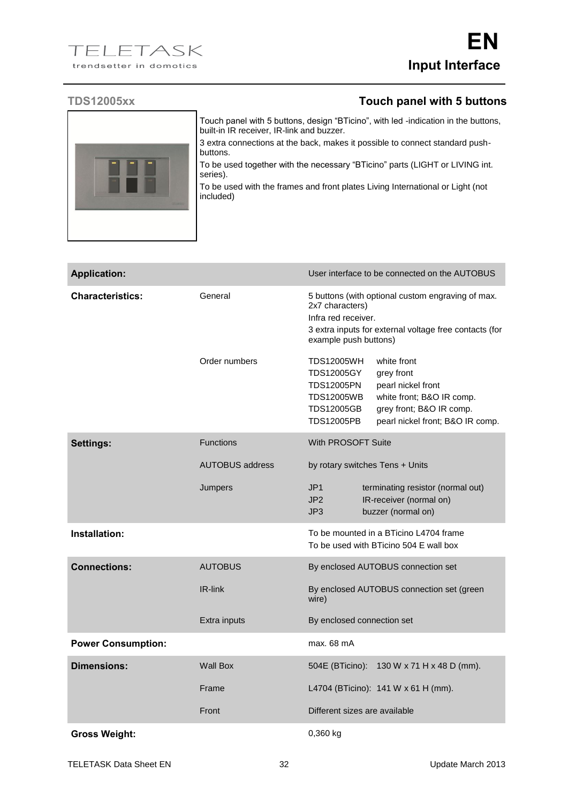## **TDS12005xx Touch panel with 5 buttons**



Touch panel with 5 buttons, design "BTicino", with led -indication in the buttons, built-in IR receiver, IR-link and buzzer.

3 extra connections at the back, makes it possible to connect standard pushbuttons.

To be used together with the necessary "BTicino" parts (LIGHT or LIVING int. series).

To be used with the frames and front plates Living International or Light (not included)

| <b>Application:</b>       |                        | User interface to be connected on the AUTOBUS                                                                                                                                                                                                                              |
|---------------------------|------------------------|----------------------------------------------------------------------------------------------------------------------------------------------------------------------------------------------------------------------------------------------------------------------------|
| <b>Characteristics:</b>   | General                | 5 buttons (with optional custom engraving of max.<br>2x7 characters)<br>Infra red receiver.<br>3 extra inputs for external voltage free contacts (for<br>example push buttons)                                                                                             |
|                           | Order numbers          | <b>TDS12005WH</b><br>white front<br><b>TDS12005GY</b><br>grey front<br><b>TDS12005PN</b><br>pearl nickel front<br><b>TDS12005WB</b><br>white front; B&O IR comp.<br><b>TDS12005GB</b><br>grey front; B&O IR comp.<br><b>TDS12005PB</b><br>pearl nickel front; B&O IR comp. |
| Settings:                 | <b>Functions</b>       | With PROSOFT Suite                                                                                                                                                                                                                                                         |
|                           | <b>AUTOBUS address</b> | by rotary switches Tens + Units                                                                                                                                                                                                                                            |
|                           | Jumpers                | JP <sub>1</sub><br>terminating resistor (normal out)<br>JP <sub>2</sub><br>IR-receiver (normal on)<br>JP3<br>buzzer (normal on)                                                                                                                                            |
| Installation:             |                        | To be mounted in a BTicino L4704 frame<br>To be used with BTicino 504 E wall box                                                                                                                                                                                           |
| <b>Connections:</b>       | <b>AUTOBUS</b>         | By enclosed AUTOBUS connection set                                                                                                                                                                                                                                         |
|                           | IR-link                | By enclosed AUTOBUS connection set (green<br>wire)                                                                                                                                                                                                                         |
|                           | Extra inputs           | By enclosed connection set                                                                                                                                                                                                                                                 |
| <b>Power Consumption:</b> |                        | max. 68 mA                                                                                                                                                                                                                                                                 |
| <b>Dimensions:</b>        | <b>Wall Box</b>        | 504E (BTicino):<br>130 W x 71 H x 48 D (mm).                                                                                                                                                                                                                               |
|                           | Frame                  | L4704 (BTicino): 141 W x 61 H (mm).                                                                                                                                                                                                                                        |
|                           | Front                  | Different sizes are available                                                                                                                                                                                                                                              |
| <b>Gross Weight:</b>      |                        | 0,360 kg                                                                                                                                                                                                                                                                   |